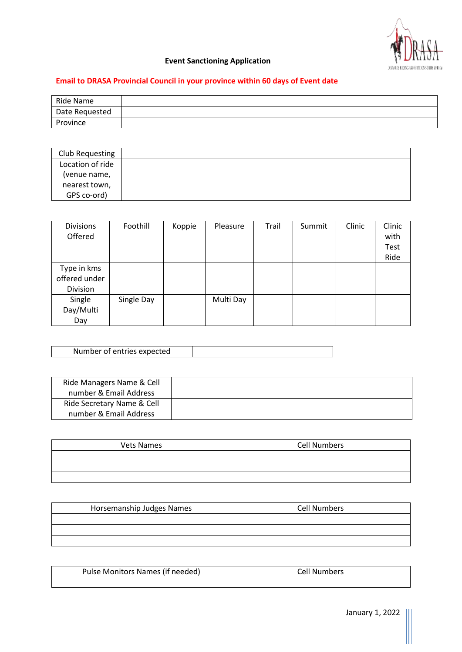

# **Event Sanctioning Application**

## **Email to DRASA Provincial Council in your province within 60 days of Event date**

| Ride Name      |  |
|----------------|--|
| Date Requested |  |
| Province       |  |

| Club Requesting  |  |
|------------------|--|
| Location of ride |  |
| (venue name,     |  |
| nearest town,    |  |
| GPS co-ord)      |  |

| <b>Divisions</b><br>Offered              | Foothill   | Koppie | Pleasure  | Trail | Summit | Clinic | Clinic<br>with<br><b>Test</b><br>Ride |
|------------------------------------------|------------|--------|-----------|-------|--------|--------|---------------------------------------|
| Type in kms<br>offered under<br>Division |            |        |           |       |        |        |                                       |
| Single<br>Day/Multi<br>Day               | Single Day |        | Multi Day |       |        |        |                                       |

| Number of entries expected |  |
|----------------------------|--|

| Ride Managers Name & Cell  |
|----------------------------|
| number & Email Address     |
| Ride Secretary Name & Cell |
| number & Email Address     |

| <b>Vets Names</b> | <b>Cell Numbers</b> |
|-------------------|---------------------|
|                   |                     |
|                   |                     |
|                   |                     |

| Horsemanship Judges Names | <b>Cell Numbers</b> |
|---------------------------|---------------------|
|                           |                     |
|                           |                     |
|                           |                     |

| Pulse Monitors Names (if needed) | Cell Numbers |
|----------------------------------|--------------|
|                                  |              |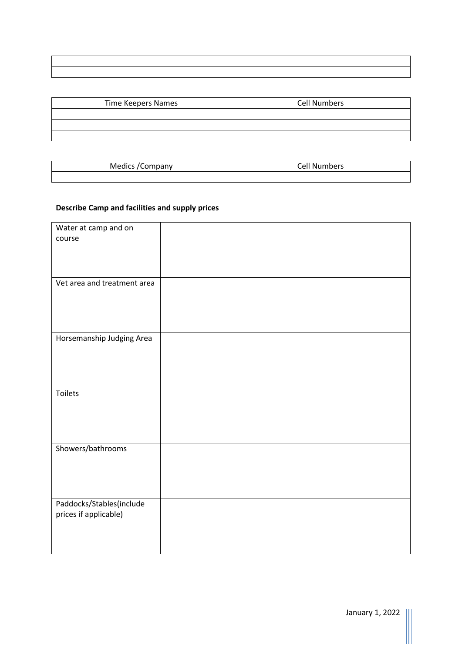| <b>Time Keepers Names</b> | <b>Cell Numbers</b> |
|---------------------------|---------------------|
|                           |                     |
|                           |                     |
|                           |                     |

| Medics<br>mpanv | .<br>$\sim$<br>vers |
|-----------------|---------------------|
|                 |                     |

### **Describe Camp and facilities and supply prices**

| Water at camp and on        |  |
|-----------------------------|--|
| course                      |  |
|                             |  |
|                             |  |
|                             |  |
|                             |  |
|                             |  |
|                             |  |
| Vet area and treatment area |  |
|                             |  |
|                             |  |
|                             |  |
|                             |  |
|                             |  |
|                             |  |
| Horsemanship Judging Area   |  |
|                             |  |
|                             |  |
|                             |  |
|                             |  |
|                             |  |
|                             |  |
|                             |  |
| <b>Toilets</b>              |  |
|                             |  |
|                             |  |
|                             |  |
|                             |  |
|                             |  |
|                             |  |
|                             |  |
| Showers/bathrooms           |  |
|                             |  |
|                             |  |
|                             |  |
|                             |  |
|                             |  |
|                             |  |
| Paddocks/Stables(include    |  |
|                             |  |
| prices if applicable)       |  |
|                             |  |
|                             |  |
|                             |  |
|                             |  |
|                             |  |

-11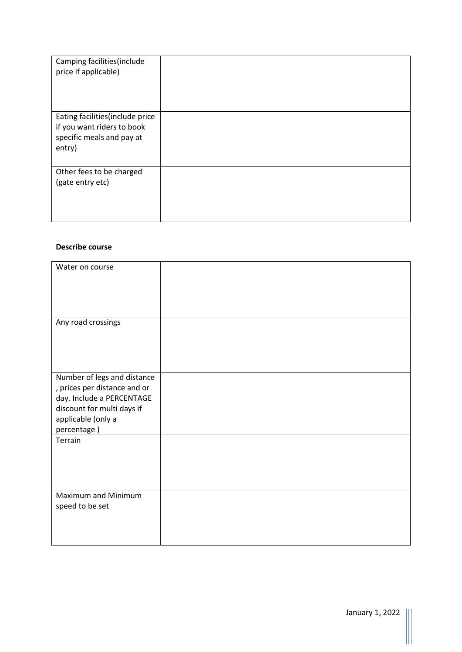| Camping facilities (include<br>price if applicable)                                                   |  |
|-------------------------------------------------------------------------------------------------------|--|
| Eating facilities (include price<br>if you want riders to book<br>specific meals and pay at<br>entry) |  |
| Other fees to be charged<br>(gate entry etc)                                                          |  |

#### **Describe course**

| Water on course                                                                                                                                             |  |
|-------------------------------------------------------------------------------------------------------------------------------------------------------------|--|
| Any road crossings                                                                                                                                          |  |
| Number of legs and distance<br>, prices per distance and or<br>day. Include a PERCENTAGE<br>discount for multi days if<br>applicable (only a<br>percentage) |  |
| Terrain                                                                                                                                                     |  |
| Maximum and Minimum<br>speed to be set                                                                                                                      |  |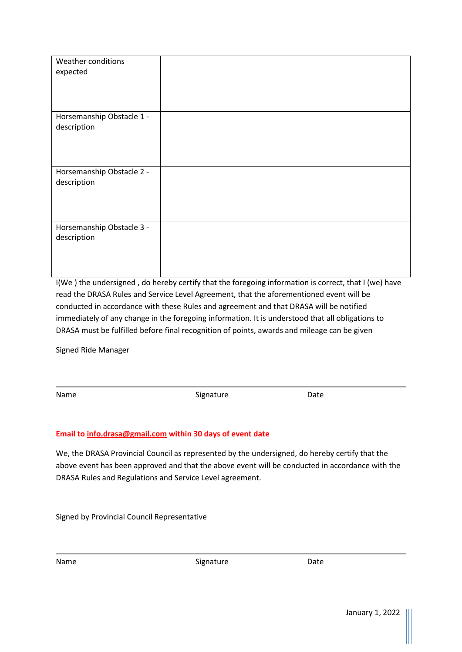| Weather conditions<br>expected           |  |
|------------------------------------------|--|
| Horsemanship Obstacle 1 -<br>description |  |
| Horsemanship Obstacle 2 -<br>description |  |
| Horsemanship Obstacle 3 -<br>description |  |

I(We ) the undersigned , do hereby certify that the foregoing information is correct, that I (we) have read the DRASA Rules and Service Level Agreement, that the aforementioned event will be conducted in accordance with these Rules and agreement and that DRASA will be notified immediately of any change in the foregoing information. It is understood that all obligations to DRASA must be fulfilled before final recognition of points, awards and mileage can be given

Signed Ride Manager

Name Date Signature Date

### **Email to [info.drasa@gmail.com](mailto:info.drasa@gmail.com) within 30 days of event date**

We, the DRASA Provincial Council as represented by the undersigned, do hereby certify that the above event has been approved and that the above event will be conducted in accordance with the DRASA Rules and Regulations and Service Level agreement.

Signed by Provincial Council Representative

| am<br>d |  |
|---------|--|
|---------|--|

Signature Date